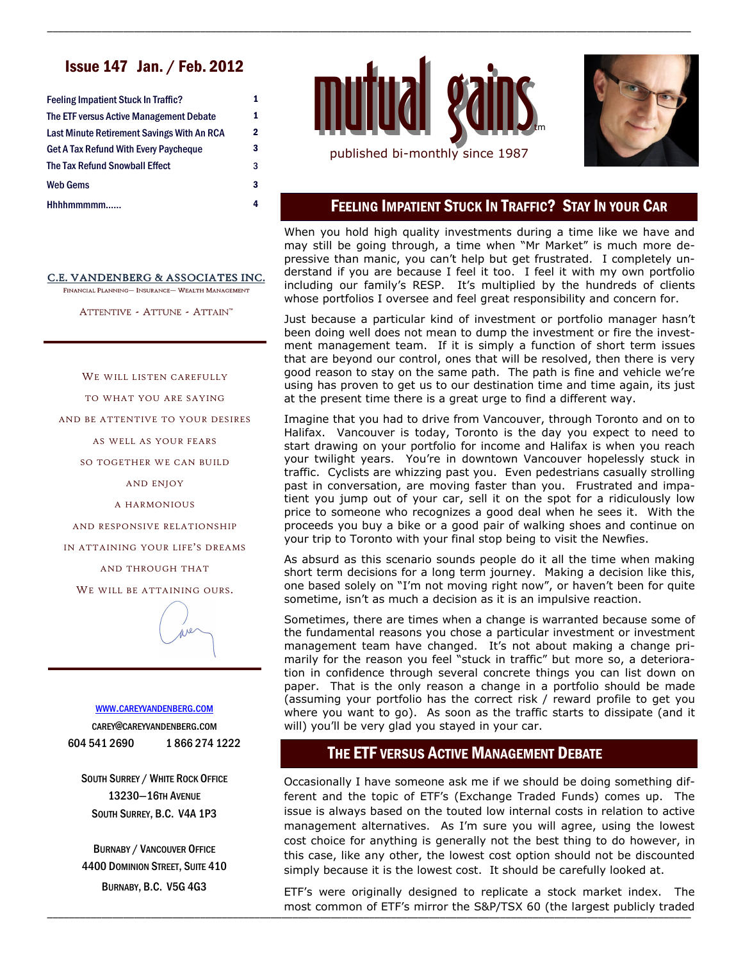# Issue 147 Jan. / Feb. 2012

| <b>Feeling Impatient Stuck In Traffic?</b>   | 1 |
|----------------------------------------------|---|
| The ETF versus Active Management Debate      | 1 |
| Last Minute Retirement Savings With An RCA   | 2 |
| <b>Get A Tax Refund With Every Paycheque</b> | 3 |
| The Tax Refund Snowball Effect               | 3 |
| Web Gems                                     | 3 |
| Hhhhmmmmm                                    | 4 |

C.E. VANDENBERG & ASSOCIATES INC. FINANCIAL PLANNING- INSURANCE- WEALTH MANAGEMENT

ATTENTIVE - ATTUNE - ATTAIN™

WE WILL LISTEN CAREFULLY

TO WHAT YOU ARE SAYING

AND BE ATTENTIVE TO YOUR DESIRES

AS WELL AS YOUR FEARS

SO TOGETHER WE CAN BUILD

AND ENJOY

A HARMONIOUS

AND RESPONSIVE RELATIONSHIP

IN ATTAINING YOUR LIFE'S DREAMS

AND THROUGH THAT

WE WILL BE ATTAINING OURS.



#### WWW.[CAREYVANDENBERG](http://careyvandenberg.com).COM

CAREY@CAREYVANDENBERG.COM 604 541 2690 1 866 274 1222

SOUTH SURREY / WHITE ROCK OFFICE 13230—16TH AVENUE SOUTH SURREY, B.C. V4A 1P3

BURNABY / VANCOUVER OFFICE 4400 DOMINION STREET, SUITE 410 BURNABY, B.C. V5G 4G3



\_\_\_\_\_\_\_\_\_\_\_\_\_\_\_\_\_\_\_\_\_\_\_\_\_\_\_\_\_\_\_\_\_\_\_\_\_\_\_\_\_\_\_\_\_\_\_\_\_\_\_\_\_\_\_\_\_\_\_\_\_\_\_\_\_\_\_\_\_\_\_\_\_\_\_\_\_\_\_\_\_\_\_\_\_\_\_\_\_\_\_\_\_\_\_\_\_\_\_\_\_\_\_\_\_\_\_\_\_\_\_\_\_\_\_\_\_\_



#### FEELING IMPATIENT STUCK IN TRAFFIC? STAY IN YOUR CAR

When you hold high quality investments during a time like we have and may still be going through, a time when "Mr Market" is much more depressive than manic, you can't help but get frustrated. I completely understand if you are because I feel it too. I feel it with my own portfolio including our family's RESP. It's multiplied by the hundreds of clients whose portfolios I oversee and feel great responsibility and concern for.

Just because a particular kind of investment or portfolio manager hasn't been doing well does not mean to dump the investment or fire the investment management team. If it is simply a function of short term issues that are beyond our control, ones that will be resolved, then there is very good reason to stay on the same path. The path is fine and vehicle we're using has proven to get us to our destination time and time again, its just at the present time there is a great urge to find a different way.

Imagine that you had to drive from Vancouver, through Toronto and on to Halifax. Vancouver is today, Toronto is the day you expect to need to start drawing on your portfolio for income and Halifax is when you reach your twilight years. You're in downtown Vancouver hopelessly stuck in traffic. Cyclists are whizzing past you. Even pedestrians casually strolling past in conversation, are moving faster than you. Frustrated and impatient you jump out of your car, sell it on the spot for a ridiculously low price to someone who recognizes a good deal when he sees it. With the proceeds you buy a bike or a good pair of walking shoes and continue on your trip to Toronto with your final stop being to visit the Newfies.

As absurd as this scenario sounds people do it all the time when making short term decisions for a long term journey. Making a decision like this, one based solely on "I'm not moving right now", or haven't been for quite sometime, isn't as much a decision as it is an impulsive reaction.

Sometimes, there are times when a change is warranted because some of the fundamental reasons you chose a particular investment or investment management team have changed. It's not about making a change primarily for the reason you feel "stuck in traffic" but more so, a deterioration in confidence through several concrete things you can list down on paper. That is the only reason a change in a portfolio should be made (assuming your portfolio has the correct risk / reward profile to get you where you want to go). As soon as the traffic starts to dissipate (and it will) you'll be very glad you stayed in your car.

## THE ETF VERSUS ACTIVE MANAGEMENT DEBATE

Occasionally I have someone ask me if we should be doing something different and the topic of ETF's (Exchange Traded Funds) comes up. The issue is always based on the touted low internal costs in relation to active management alternatives. As I'm sure you will agree, using the lowest cost choice for anything is generally not the best thing to do however, in this case, like any other, the lowest cost option should not be discounted simply because it is the lowest cost. It should be carefully looked at.

\_\_\_\_\_\_\_\_\_\_\_\_\_\_\_\_\_\_\_\_\_\_\_\_\_\_\_\_\_\_\_\_\_\_\_\_\_\_\_\_\_\_\_\_\_\_\_\_\_\_\_\_\_\_\_\_\_\_\_\_\_\_\_\_\_\_\_\_\_\_\_\_\_\_\_\_\_\_\_\_\_\_\_\_\_\_\_\_\_\_\_\_\_\_\_\_\_\_\_\_\_\_\_\_\_\_\_\_\_\_\_\_\_\_\_\_\_\_ most common of ETF's mirror the S&P/TSX 60 (the largest publicly traded ETF's were originally designed to replicate a stock market index. The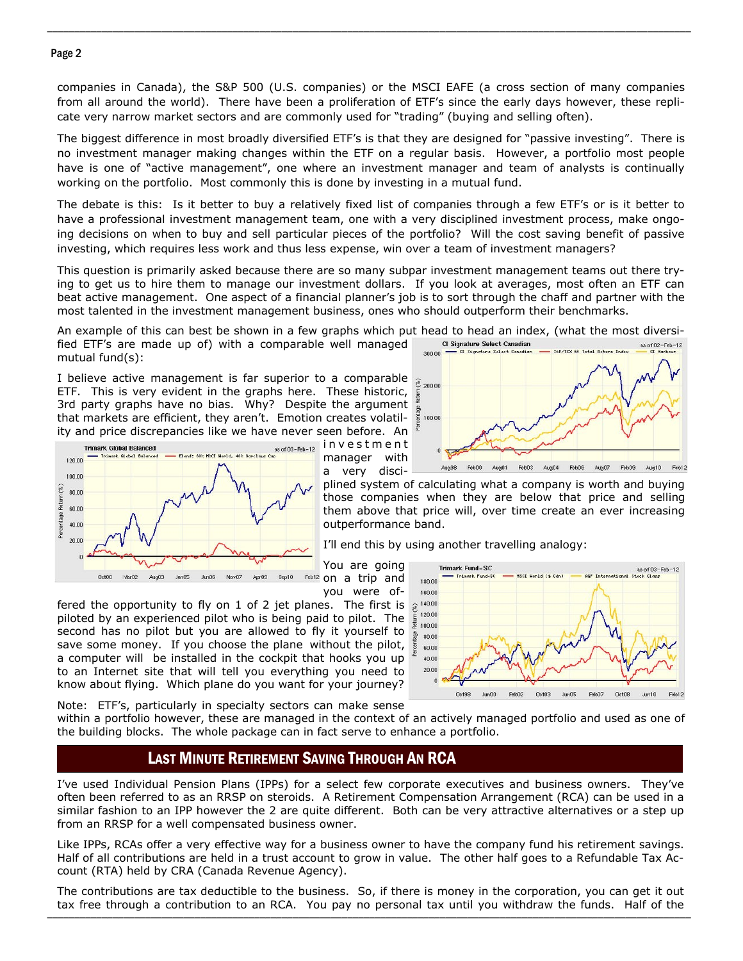#### Page 2

companies in Canada), the S&P 500 (U.S. companies) or the MSCI EAFE (a cross section of many companies from all around the world). There have been a proliferation of ETF's since the early days however, these replicate very narrow market sectors and are commonly used for "trading" (buying and selling often).

\_\_\_\_\_\_\_\_\_\_\_\_\_\_\_\_\_\_\_\_\_\_\_\_\_\_\_\_\_\_\_\_\_\_\_\_\_\_\_\_\_\_\_\_\_\_\_\_\_\_\_\_\_\_\_\_\_\_\_\_\_\_\_\_\_\_\_\_\_\_\_\_\_\_\_\_\_\_\_\_\_\_\_\_\_\_\_\_\_\_\_\_\_\_\_\_\_\_\_\_\_\_\_\_\_\_\_\_\_\_\_\_\_\_\_\_\_\_

The biggest difference in most broadly diversified ETF's is that they are designed for "passive investing". There is no investment manager making changes within the ETF on a regular basis. However, a portfolio most people have is one of "active management", one where an investment manager and team of analysts is continually working on the portfolio. Most commonly this is done by investing in a mutual fund.

The debate is this: Is it better to buy a relatively fixed list of companies through a few ETF's or is it better to have a professional investment management team, one with a very disciplined investment process, make ongoing decisions on when to buy and sell particular pieces of the portfolio? Will the cost saving benefit of passive investing, which requires less work and thus less expense, win over a team of investment managers?

This question is primarily asked because there are so many subpar investment management teams out there trying to get us to hire them to manage our investment dollars. If you look at averages, most often an ETF can beat active management. One aspect of a financial planner's job is to sort through the chaff and partner with the most talented in the investment management business, ones who should outperform their benchmarks.

An example of this can best be shown in a few graphs which put head to head an index, (what the most diversified ETF's are made up of) with a comparable well managed Cl Signature Select Canadian

mutual fund(s):

I believe active management is far superior to a comparable ETF. This is very evident in the graphs here. These historic, 3rd party graphs have no bias. Why? Despite the argument that markets are efficient, they aren't. Emotion creates volatility and price discrepancies like we have never seen before. An



i n v e s t m e n t manager with a very disci-



plined system of calculating what a company is worth and buying those companies when they are below that price and selling them above that price will, over time create an ever increasing outperformance band.

I'll end this by using another travelling analogy:

You are going on a trip and you were of-

fered the opportunity to fly on 1 of 2 jet planes. The first is  $\widehat{\mathcal{R}}$ piloted by an experienced pilot who is being paid to pilot. The second has no pilot but you are allowed to fly it yourself to tage save some money. If you choose the plane without the pilot, a computer will be installed in the cockpit that hooks you up to an Internet site that will tell you everything you need to know about flying. Which plane do you want for your journey?



Note: ETF's, particularly in specialty sectors can make sense

within a portfolio however, these are managed in the context of an actively managed portfolio and used as one of the building blocks. The whole package can in fact serve to enhance a portfolio.

## LAST MINUTE RETIREMENT SAVING THROUGH AN RCA

I've used Individual Pension Plans (IPPs) for a select few corporate executives and business owners. They've often been referred to as an RRSP on steroids. A Retirement Compensation Arrangement (RCA) can be used in a similar fashion to an IPP however the 2 are quite different. Both can be very attractive alternatives or a step up from an RRSP for a well compensated business owner.

Like IPPs, RCAs offer a very effective way for a business owner to have the company fund his retirement savings. Half of all contributions are held in a trust account to grow in value. The other half goes to a Refundable Tax Account (RTA) held by CRA (Canada Revenue Agency).

\_\_\_\_\_\_\_\_\_\_\_\_\_\_\_\_\_\_\_\_\_\_\_\_\_\_\_\_\_\_\_\_\_\_\_\_\_\_\_\_\_\_\_\_\_\_\_\_\_\_\_\_\_\_\_\_\_\_\_\_\_\_\_\_\_\_\_\_\_\_\_\_\_\_\_\_\_\_\_\_\_\_\_\_\_\_\_\_\_\_\_\_\_\_\_\_\_\_\_\_\_\_\_\_\_\_\_\_\_\_\_\_\_\_\_\_\_\_ tax free through a contribution to an RCA. You pay no personal tax until you withdraw the funds. Half of the The contributions are tax deductible to the business. So, if there is money in the corporation, you can get it out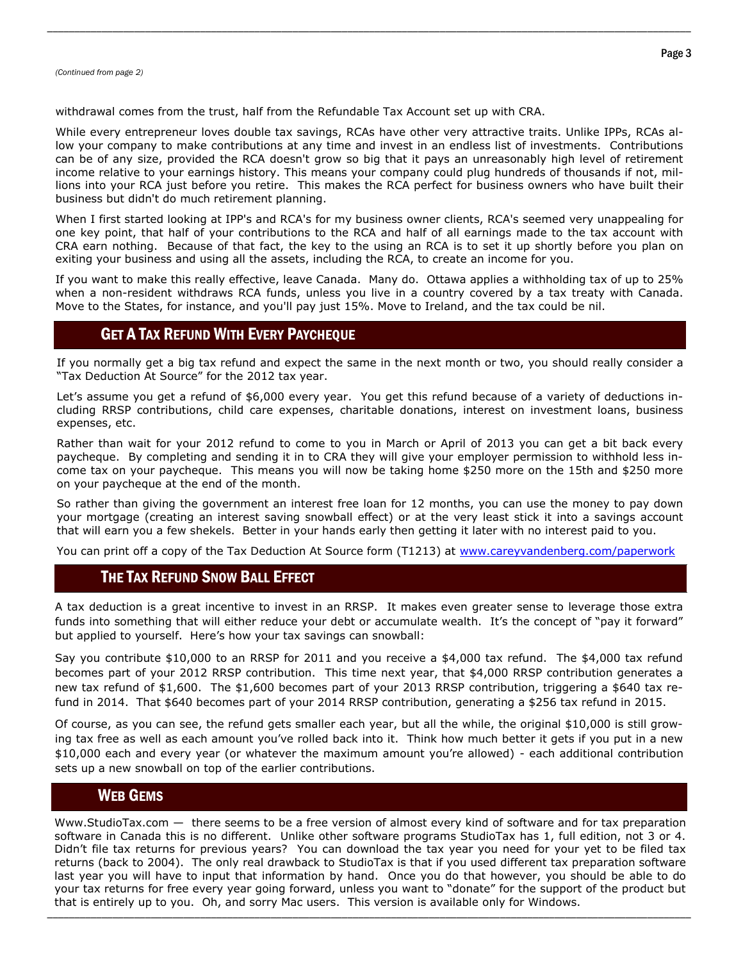withdrawal comes from the trust, half from the Refundable Tax Account set up with CRA.

While every entrepreneur loves double tax savings, RCAs have other very attractive traits. Unlike IPPs, RCAs allow your company to make contributions at any time and invest in an endless list of investments. Contributions can be of any size, provided the RCA doesn't grow so big that it pays an unreasonably high level of retirement income relative to your earnings history. This means your company could plug hundreds of thousands if not, millions into your RCA just before you retire. This makes the RCA perfect for business owners who have built their business but didn't do much retirement planning.

\_\_\_\_\_\_\_\_\_\_\_\_\_\_\_\_\_\_\_\_\_\_\_\_\_\_\_\_\_\_\_\_\_\_\_\_\_\_\_\_\_\_\_\_\_\_\_\_\_\_\_\_\_\_\_\_\_\_\_\_\_\_\_\_\_\_\_\_\_\_\_\_\_\_\_\_\_\_\_\_\_\_\_\_\_\_\_\_\_\_\_\_\_\_\_\_\_\_\_\_\_\_\_\_\_\_\_\_\_\_\_\_\_\_\_\_\_\_

When I first started looking at IPP's and RCA's for my business owner clients, RCA's seemed very unappealing for one key point, that half of your contributions to the RCA and half of all earnings made to the tax account with CRA earn nothing. Because of that fact, the key to the using an RCA is to set it up shortly before you plan on exiting your business and using all the assets, including the RCA, to create an income for you.

If you want to make this really effective, leave Canada. Many do. Ottawa applies a withholding tax of up to 25% when a non-resident withdraws RCA funds, unless you live in a country covered by a tax treaty with Canada. Move to the States, for instance, and you'll pay just 15%. Move to Ireland, and the tax could be nil.

## GET A TAX REFUND WITH EVERY PAYCHEQUE

If you normally get a big tax refund and expect the same in the next month or two, you should really consider a "Tax Deduction At Source" for the 2012 tax year.

Let's assume you get a refund of \$6,000 every year. You get this refund because of a variety of deductions including RRSP contributions, child care expenses, charitable donations, interest on investment loans, business expenses, etc.

Rather than wait for your 2012 refund to come to you in March or April of 2013 you can get a bit back every paycheque. By completing and sending it in to CRA they will give your employer permission to withhold less income tax on your paycheque. This means you will now be taking home \$250 more on the 15th and \$250 more on your paycheque at the end of the month.

So rather than giving the government an interest free loan for 12 months, you can use the money to pay down your mortgage (creating an interest saving snowball effect) or at the very least stick it into a savings account that will earn you a few shekels. Better in your hands early then getting it later with no interest paid to you.

You can print off a copy of the Tax Deduction At Source form (T1213) at [www.careyvandenberg.com/paperwork](http://www.careyvandenberg.com/paperwork)

#### THE TAX REFUND SNOW BALL EFFECT

A tax deduction is a great incentive to invest in an RRSP. It makes even greater sense to leverage those extra funds into something that will either reduce your debt or accumulate wealth. It's the concept of "pay it forward" but applied to yourself. Here's how your tax savings can snowball:

Say you contribute \$10,000 to an RRSP for 2011 and you receive a \$4,000 tax refund. The \$4,000 tax refund becomes part of your 2012 RRSP contribution. This time next year, that \$4,000 RRSP contribution generates a new tax refund of \$1,600. The \$1,600 becomes part of your 2013 RRSP contribution, triggering a \$640 tax refund in 2014. That \$640 becomes part of your 2014 RRSP contribution, generating a \$256 tax refund in 2015.

Of course, as you can see, the refund gets smaller each year, but all the while, the original \$10,000 is still growing tax free as well as each amount you've rolled back into it. Think how much better it gets if you put in a new \$10,000 each and every year (or whatever the maximum amount you're allowed) - each additional contribution sets up a new snowball on top of the earlier contributions.

## WEB GEMS

\_\_\_\_\_\_\_\_\_\_\_\_\_\_\_\_\_\_\_\_\_\_\_\_\_\_\_\_\_\_\_\_\_\_\_\_\_\_\_\_\_\_\_\_\_\_\_\_\_\_\_\_\_\_\_\_\_\_\_\_\_\_\_\_\_\_\_\_\_\_\_\_\_\_\_\_\_\_\_\_\_\_\_\_\_\_\_\_\_\_\_\_\_\_\_\_\_\_\_\_\_\_\_\_\_\_\_\_\_\_\_\_\_\_\_\_\_\_ Www.StudioTax.com — there seems to be a free version of almost every kind of software and for tax preparation software in Canada this is no different. Unlike other software programs StudioTax has 1, full edition, not 3 or 4. Didn't file tax returns for previous years? You can download the tax year you need for your yet to be filed tax returns (back to 2004). The only real drawback to StudioTax is that if you used different tax preparation software last year you will have to input that information by hand. Once you do that however, you should be able to do your tax returns for free every year going forward, unless you want to "donate" for the support of the product but that is entirely up to you. Oh, and sorry Mac users. This version is available only for Windows.